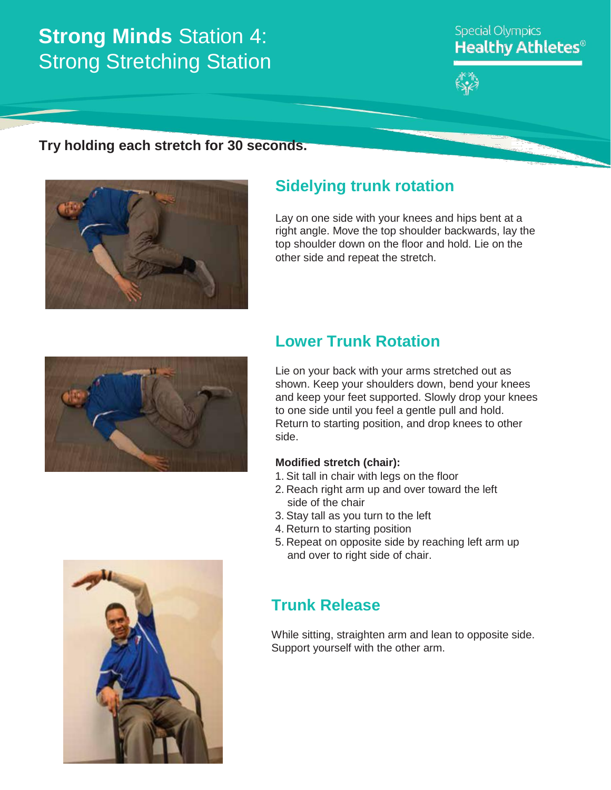# **Strong Minds** Station 4: **Strong Stretching Station**

### **Special Olympics Healthy Athletes<sup>®</sup>**



### **Try holding each stretch for 30 seconds.**



## **Sidelying trunk rotation**

Lay on one side with your knees and hips bent at a right angle. Move the top shoulder backwards, lay the top shoulder down on the floor and hold. Lie on the other side and repeat the stretch.



## **Lower Trunk Rotation**

Lie on your back with your arms stretched out as shown. Keep your shoulders down, bend your knees and keep your feet supported. Slowly drop your knees to one side until you feel a gentle pull and hold. Return to starting position, and drop knees to other side.

#### **Modified stretch (chair):**

- 1. Sit tall in chair with legs on the floor
- 2. Reach right arm up and over toward the left side of the chair
- 3. Stay tall as you turn to the left
- 4. Return to starting position
- 5. Repeat on opposite side by reaching left arm up and over to right side of chair.

### **Trunk Release**

While sitting, straighten arm and lean to opposite side. Support yourself with the other arm.